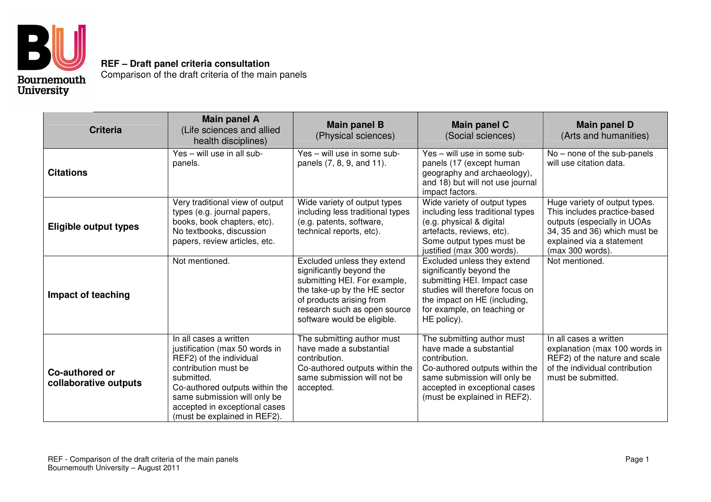

**REF – Draft panel criteria consultation** Comparison of the draft criteria of the main panels

| <b>Criteria</b>                         | <b>Main panel A</b><br>(Life sciences and allied<br>health disciplines)                                                                                                                                                                                      | <b>Main panel B</b><br>(Physical sciences)                                                                                                                                                                         | Main panel C<br>(Social sciences)                                                                                                                                                                         | <b>Main panel D</b><br>(Arts and humanities)                                                                                                                                  |
|-----------------------------------------|--------------------------------------------------------------------------------------------------------------------------------------------------------------------------------------------------------------------------------------------------------------|--------------------------------------------------------------------------------------------------------------------------------------------------------------------------------------------------------------------|-----------------------------------------------------------------------------------------------------------------------------------------------------------------------------------------------------------|-------------------------------------------------------------------------------------------------------------------------------------------------------------------------------|
| <b>Citations</b>                        | Yes - will use in all sub-<br>panels.                                                                                                                                                                                                                        | Yes - will use in some sub-<br>panels (7, 8, 9, and 11).                                                                                                                                                           | Yes - will use in some sub-<br>panels (17 (except human<br>geography and archaeology),<br>and 18) but will not use journal<br>impact factors.                                                             | No - none of the sub-panels<br>will use citation data.                                                                                                                        |
| <b>Eligible output types</b>            | Very traditional view of output<br>types (e.g. journal papers,<br>books, book chapters, etc).<br>No textbooks, discussion<br>papers, review articles, etc.                                                                                                   | Wide variety of output types<br>including less traditional types<br>(e.g. patents, software,<br>technical reports, etc).                                                                                           | Wide variety of output types<br>including less traditional types<br>(e.g. physical & digital<br>artefacts, reviews, etc).<br>Some output types must be<br>justified (max 300 words).                      | Huge variety of output types.<br>This includes practice-based<br>outputs (especially in UOAs<br>34, 35 and 36) which must be<br>explained via a statement<br>(max 300 words). |
| Impact of teaching                      | Not mentioned.                                                                                                                                                                                                                                               | Excluded unless they extend<br>significantly beyond the<br>submitting HEI. For example,<br>the take-up by the HE sector<br>of products arising from<br>research such as open source<br>software would be eligible. | Excluded unless they extend<br>significantly beyond the<br>submitting HEI. Impact case<br>studies will therefore focus on<br>the impact on HE (including,<br>for example, on teaching or<br>HE policy).   | Not mentioned.                                                                                                                                                                |
| Co-authored or<br>collaborative outputs | In all cases a written<br>justification (max 50 words in<br>REF2) of the individual<br>contribution must be<br>submitted.<br>Co-authored outputs within the<br>same submission will only be<br>accepted in exceptional cases<br>(must be explained in REF2). | The submitting author must<br>have made a substantial<br>contribution.<br>Co-authored outputs within the<br>same submission will not be<br>accepted.                                                               | The submitting author must<br>have made a substantial<br>contribution.<br>Co-authored outputs within the<br>same submission will only be<br>accepted in exceptional cases<br>(must be explained in REF2). | In all cases a written<br>explanation (max 100 words in<br>REF2) of the nature and scale<br>of the individual contribution<br>must be submitted.                              |